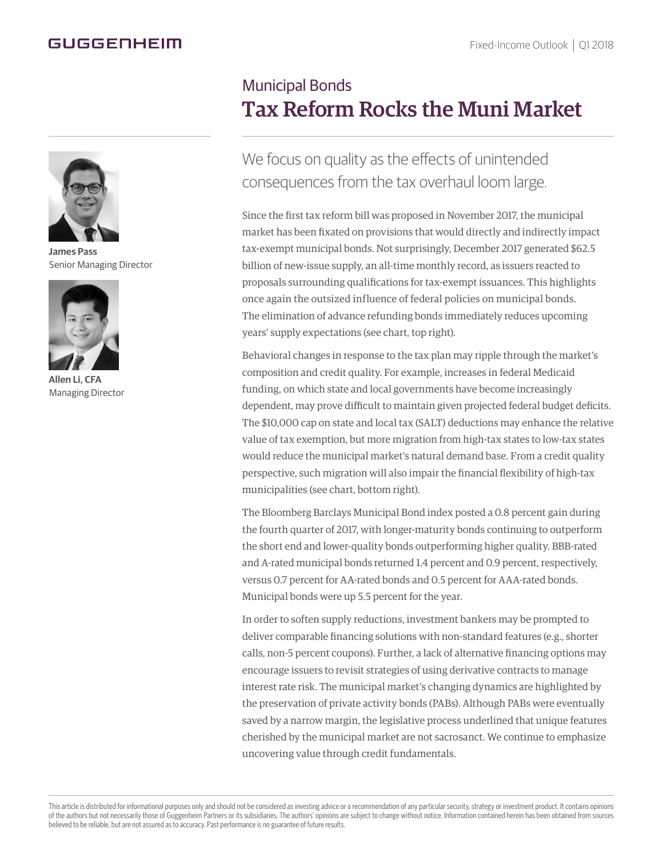## GUGGENHEIM



**James Pass** Senior Managing Director



**Allen Li, CFA** Managing Director

## Municipal Bonds Tax Reform Rocks the Muni Market

We focus on quality as the effects of unintended consequences from the tax overhaul loom large.

Since the first tax reform bill was proposed in November 2017, the municipal market has been fixated on provisions that would directly and indirectly impact tax-exempt municipal bonds. Not surprisingly, December 2017 generated \$62.5 billion of new-issue supply, an all-time monthly record, as issuers reacted to proposals surrounding qualifications for tax-exempt issuances. This highlights once again the outsized influence of federal policies on municipal bonds. The elimination of advance refunding bonds immediately reduces upcoming years' supply expectations (see chart, top right).

Behavioral changes in response to the tax plan may ripple through the market's composition and credit quality. For example, increases in federal Medicaid funding, on which state and local governments have become increasingly dependent, may prove difficult to maintain given projected federal budget deficits. The \$10,000 cap on state and local tax (SALT) deductions may enhance the relative value of tax exemption, but more migration from high-tax states to low-tax states would reduce the municipal market's natural demand base. From a credit quality perspective, such migration will also impair the financial flexibility of high-tax municipalities (see chart, bottom right).

The Bloomberg Barclays Municipal Bond index posted a 0.8 percent gain during the fourth quarter of 2017, with longer-maturity bonds continuing to outperform the short end and lower-quality bonds outperforming higher quality. BBB-rated and A-rated municipal bonds returned 1.4 percent and 0.9 percent, respectively, versus 0.7 percent for AA-rated bonds and 0.5 percent for AAA-rated bonds. Municipal bonds were up 5.5 percent for the year.

In order to soften supply reductions, investment bankers may be prompted to deliver comparable financing solutions with non-standard features (e.g., shorter calls, non-5 percent coupons). Further, a lack of alternative financing options may encourage issuers to revisit strategies of using derivative contracts to manage interest rate risk. The municipal market's changing dynamics are highlighted by the preservation of private activity bonds (PABs). Although PABs were eventually saved by a narrow margin, the legislative process underlined that unique features cherished by the municipal market are not sacrosanct. We continue to emphasize uncovering value through credit fundamentals.

This article is distributed for informational purposes only and should not be considered as investing advice or a recommendation of any particular security, strategy or investment product. It contains opinions of the authors but not necessarily those of Guggenheim Partners or its subsidiaries. The authors' opinions are subject to change without notice. Information contained herein has been obtained from sources believed to be reliable, but are not assured as to accuracy. Past performance is no guarantee of future results.